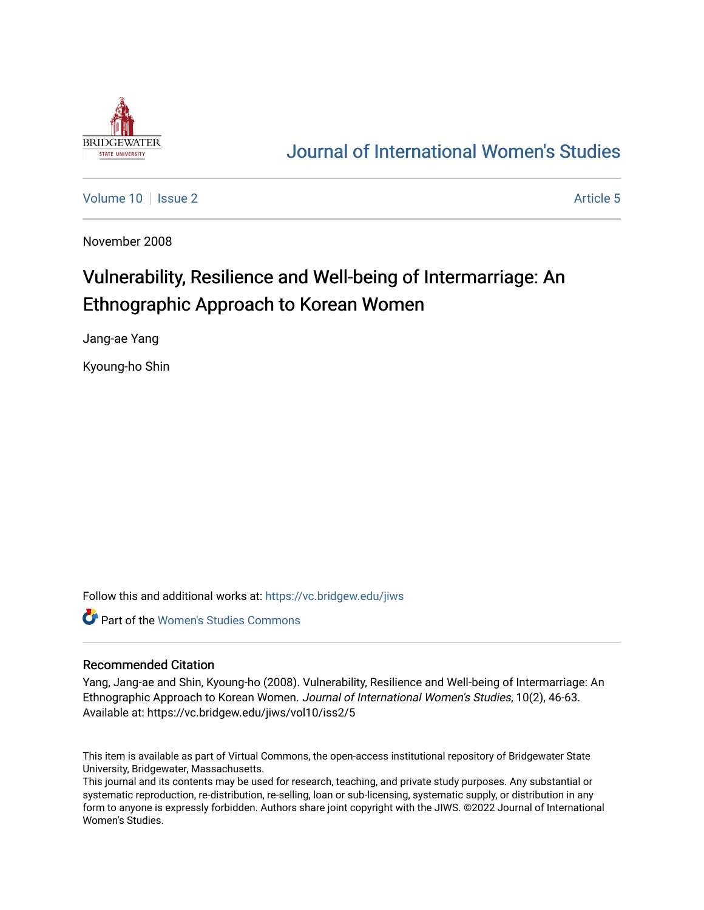

## [Journal of International Women's Studies](https://vc.bridgew.edu/jiws)

[Volume 10](https://vc.bridgew.edu/jiws/vol10) | [Issue 2](https://vc.bridgew.edu/jiws/vol10/iss2) Article 5

November 2008

# Vulnerability, Resilience and Well-being of Intermarriage: An Ethnographic Approach to Korean Women

Jang-ae Yang

Kyoung-ho Shin

Follow this and additional works at: [https://vc.bridgew.edu/jiws](https://vc.bridgew.edu/jiws?utm_source=vc.bridgew.edu%2Fjiws%2Fvol10%2Fiss2%2F5&utm_medium=PDF&utm_campaign=PDFCoverPages)

**C** Part of the Women's Studies Commons

#### Recommended Citation

Yang, Jang-ae and Shin, Kyoung-ho (2008). Vulnerability, Resilience and Well-being of Intermarriage: An Ethnographic Approach to Korean Women. Journal of International Women's Studies, 10(2), 46-63. Available at: https://vc.bridgew.edu/jiws/vol10/iss2/5

This item is available as part of Virtual Commons, the open-access institutional repository of Bridgewater State University, Bridgewater, Massachusetts.

This journal and its contents may be used for research, teaching, and private study purposes. Any substantial or systematic reproduction, re-distribution, re-selling, loan or sub-licensing, systematic supply, or distribution in any form to anyone is expressly forbidden. Authors share joint copyright with the JIWS. ©2022 Journal of International Women's Studies.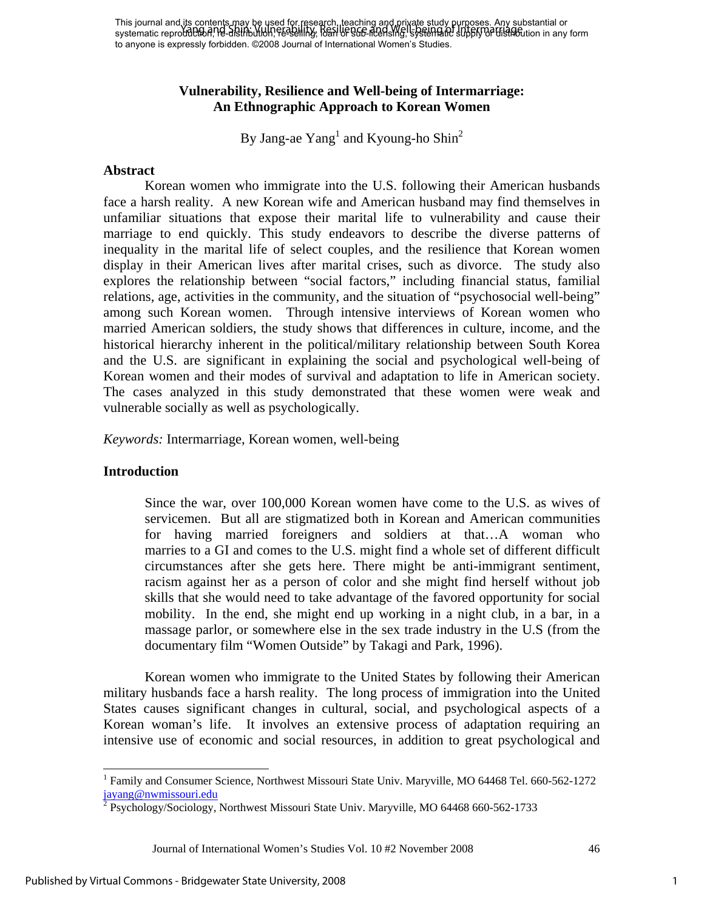#### **Vulnerability, Resilience and Well-being of Intermarriage: An Ethnographic Approach to Korean Women**

By Jang-ae  $Yang<sup>1</sup>$  and Kyoung-ho Shin<sup>2</sup>

#### **Abstract**

 Korean women who immigrate into the U.S. following their American husbands face a harsh reality. A new Korean wife and American husband may find themselves in unfamiliar situations that expose their marital life to vulnerability and cause their marriage to end quickly. This study endeavors to describe the diverse patterns of inequality in the marital life of select couples, and the resilience that Korean women display in their American lives after marital crises, such as divorce. The study also explores the relationship between "social factors," including financial status, familial relations, age, activities in the community, and the situation of "psychosocial well-being" among such Korean women. Through intensive interviews of Korean women who married American soldiers, the study shows that differences in culture, income, and the historical hierarchy inherent in the political/military relationship between South Korea and the U.S. are significant in explaining the social and psychological well-being of Korean women and their modes of survival and adaptation to life in American society. The cases analyzed in this study demonstrated that these women were weak and vulnerable socially as well as psychologically.

*Keywords:* Intermarriage, Korean women, well-being

#### **Introduction**

 $\overline{\phantom{a}}$ 

Since the war, over 100,000 Korean women have come to the U.S. as wives of servicemen. But all are stigmatized both in Korean and American communities for having married foreigners and soldiers at that…A woman who marries to a GI and comes to the U.S. might find a whole set of different difficult circumstances after she gets here. There might be anti-immigrant sentiment, racism against her as a person of color and she might find herself without job skills that she would need to take advantage of the favored opportunity for social mobility. In the end, she might end up working in a night club, in a bar, in a massage parlor, or somewhere else in the sex trade industry in the U.S (from the documentary film "Women Outside" by Takagi and Park, 1996).

 Korean women who immigrate to the United States by following their American military husbands face a harsh reality. The long process of immigration into the United States causes significant changes in cultural, social, and psychological aspects of a Korean woman's life. It involves an extensive process of adaptation requiring an intensive use of economic and social resources, in addition to great psychological and

Journal of International Women's Studies Vol. 10 #2 November 2008 46

<sup>&</sup>lt;sup>1</sup> Family and Consumer Science, Northwest Missouri State Univ. Maryville, MO 64468 Tel. 660-562-1272 j<u>ayang@nwmissouri.edu</u><br><sup>2</sup> Psychology/Sociology, Northwest Missouri State Univ. Maryville, MO 64468 660-562-1733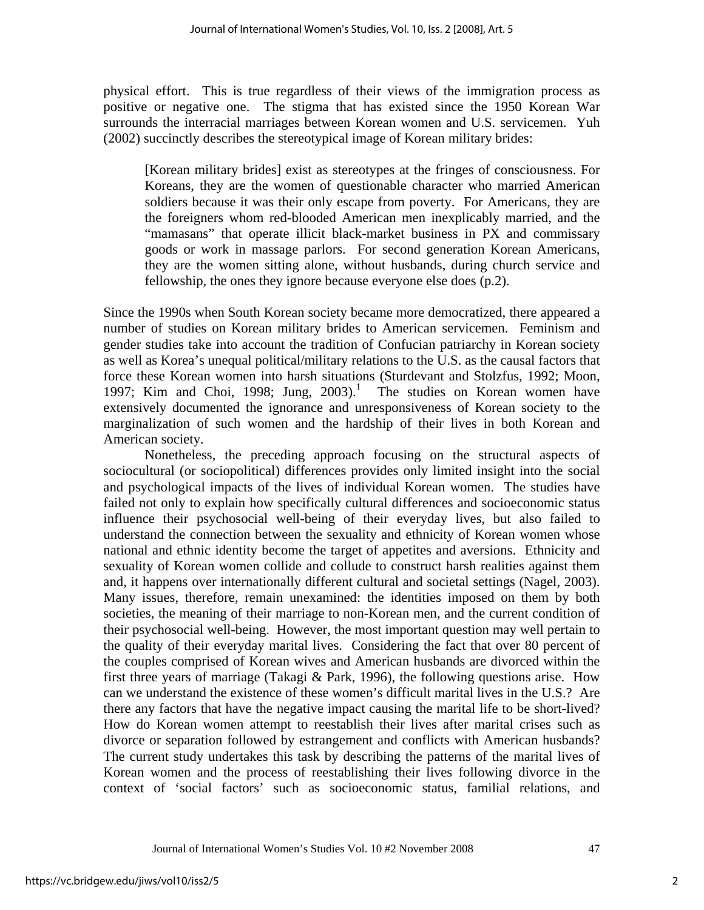physical effort. This is true regardless of their views of the immigration process as positive or negative one. The stigma that has existed since the 1950 Korean War surrounds the interracial marriages between Korean women and U.S. servicemen. Yuh (2002) succinctly describes the stereotypical image of Korean military brides:

[Korean military brides] exist as stereotypes at the fringes of consciousness. For Koreans, they are the women of questionable character who married American soldiers because it was their only escape from poverty. For Americans, they are the foreigners whom red-blooded American men inexplicably married, and the "mamasans" that operate illicit black-market business in PX and commissary goods or work in massage parlors. For second generation Korean Americans, they are the women sitting alone, without husbands, during church service and fellowship, the ones they ignore because everyone else does (p.2).

Since the 1990s when South Korean society became more democratized, there appeared a number of studies on Korean military brides to American servicemen. Feminism and gender studies take into account the tradition of Confucian patriarchy in Korean society as well as Korea's unequal political/military relations to the U.S. as the causal factors that force these Korean women into harsh situations (Sturdevant and Stolzfus, 1992; Moon, 1997; Kim and Choi, 1998; Jung,  $2003$ .<sup>1</sup> The studies on Korean women have extensively documented the ignorance and unresponsiveness of Korean society to the marginalization of such women and the hardship of their lives in both Korean and American society.

 Nonetheless, the preceding approach focusing on the structural aspects of sociocultural (or sociopolitical) differences provides only limited insight into the social and psychological impacts of the lives of individual Korean women. The studies have failed not only to explain how specifically cultural differences and socioeconomic status influence their psychosocial well-being of their everyday lives, but also failed to understand the connection between the sexuality and ethnicity of Korean women whose national and ethnic identity become the target of appetites and aversions. Ethnicity and sexuality of Korean women collide and collude to construct harsh realities against them and, it happens over internationally different cultural and societal settings (Nagel, 2003). Many issues, therefore, remain unexamined: the identities imposed on them by both societies, the meaning of their marriage to non-Korean men, and the current condition of their psychosocial well-being. However, the most important question may well pertain to the quality of their everyday marital lives. Considering the fact that over 80 percent of the couples comprised of Korean wives and American husbands are divorced within the first three years of marriage (Takagi & Park, 1996), the following questions arise. How can we understand the existence of these women's difficult marital lives in the U.S.? Are there any factors that have the negative impact causing the marital life to be short-lived? How do Korean women attempt to reestablish their lives after marital crises such as divorce or separation followed by estrangement and conflicts with American husbands? The current study undertakes this task by describing the patterns of the marital lives of Korean women and the process of reestablishing their lives following divorce in the context of 'social factors' such as socioeconomic status, familial relations, and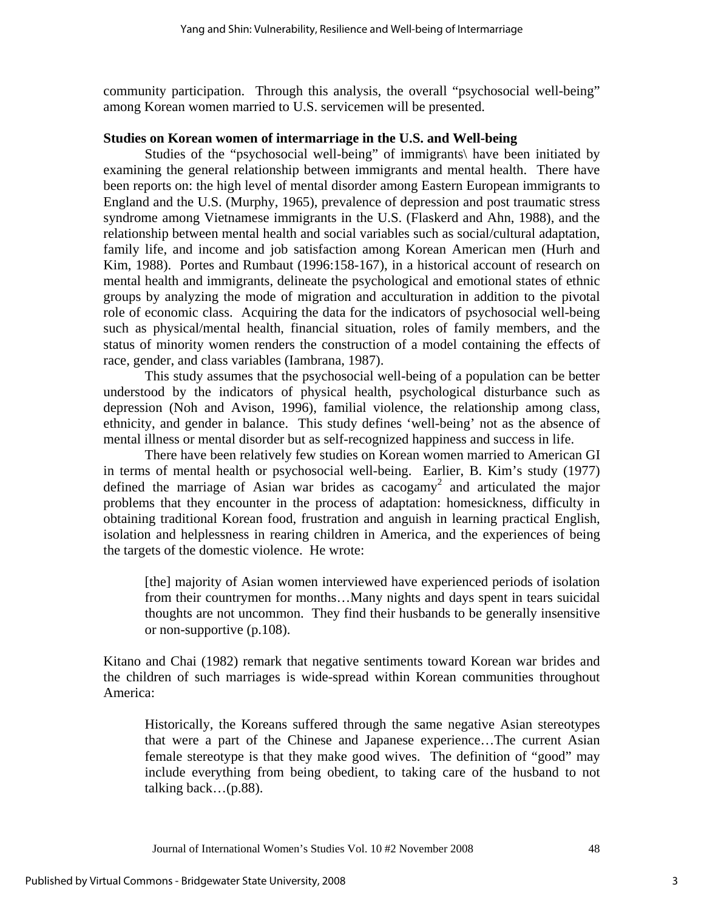community participation. Through this analysis, the overall "psychosocial well-being" among Korean women married to U.S. servicemen will be presented.

#### **Studies on Korean women of intermarriage in the U.S. and Well-being**

 Studies of the "psychosocial well-being" of immigrants\ have been initiated by examining the general relationship between immigrants and mental health. There have been reports on: the high level of mental disorder among Eastern European immigrants to England and the U.S. (Murphy, 1965), prevalence of depression and post traumatic stress syndrome among Vietnamese immigrants in the U.S. (Flaskerd and Ahn, 1988), and the relationship between mental health and social variables such as social/cultural adaptation, family life, and income and job satisfaction among Korean American men (Hurh and Kim, 1988). Portes and Rumbaut (1996:158-167), in a historical account of research on mental health and immigrants, delineate the psychological and emotional states of ethnic groups by analyzing the mode of migration and acculturation in addition to the pivotal role of economic class. Acquiring the data for the indicators of psychosocial well-being such as physical/mental health, financial situation, roles of family members, and the status of minority women renders the construction of a model containing the effects of race, gender, and class variables (Iambrana, 1987).

This study assumes that the psychosocial well-being of a population can be better understood by the indicators of physical health, psychological disturbance such as depression (Noh and Avison, 1996), familial violence, the relationship among class, ethnicity, and gender in balance. This study defines 'well-being' not as the absence of mental illness or mental disorder but as self-recognized happiness and success in life.

 There have been relatively few studies on Korean women married to American GI in terms of mental health or psychosocial well-being. Earlier, B. Kim's study (1977) defined the marriage of Asian war brides as cacogamy<sup>2</sup> and articulated the major problems that they encounter in the process of adaptation: homesickness, difficulty in obtaining traditional Korean food, frustration and anguish in learning practical English, isolation and helplessness in rearing children in America, and the experiences of being the targets of the domestic violence. He wrote:

[the] majority of Asian women interviewed have experienced periods of isolation from their countrymen for months…Many nights and days spent in tears suicidal thoughts are not uncommon. They find their husbands to be generally insensitive or non-supportive (p.108).

Kitano and Chai (1982) remark that negative sentiments toward Korean war brides and the children of such marriages is wide-spread within Korean communities throughout America:

Historically, the Koreans suffered through the same negative Asian stereotypes that were a part of the Chinese and Japanese experience…The current Asian female stereotype is that they make good wives. The definition of "good" may include everything from being obedient, to taking care of the husband to not talking back…(p.88).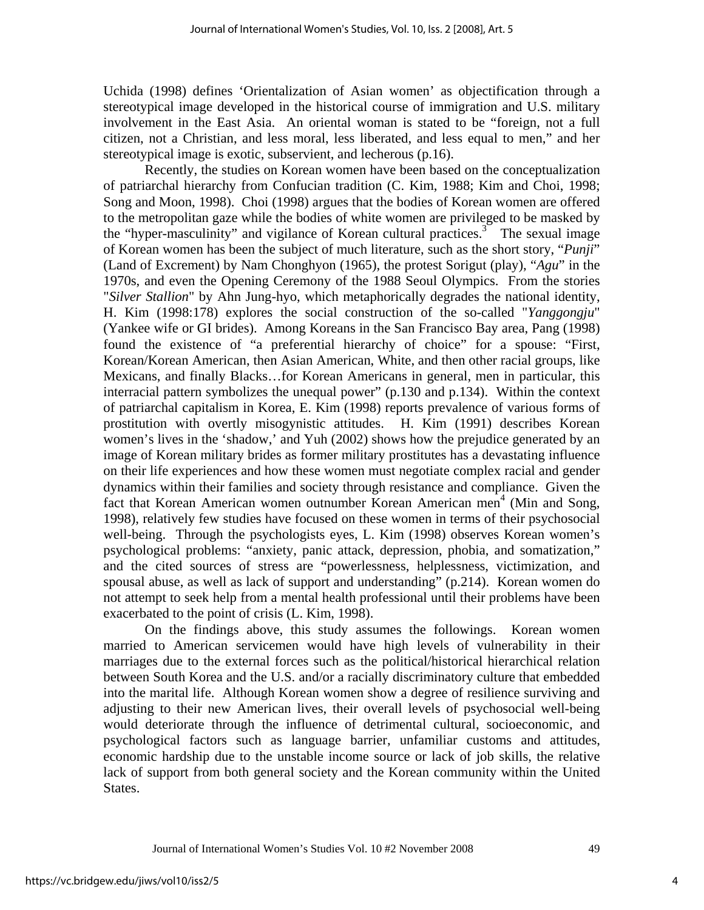Uchida (1998) defines 'Orientalization of Asian women' as objectification through a stereotypical image developed in the historical course of immigration and U.S. military involvement in the East Asia. An oriental woman is stated to be "foreign, not a full citizen, not a Christian, and less moral, less liberated, and less equal to men," and her stereotypical image is exotic, subservient, and lecherous (p.16).

 Recently, the studies on Korean women have been based on the conceptualization of patriarchal hierarchy from Confucian tradition (C. Kim, 1988; Kim and Choi, 1998; Song and Moon, 1998). Choi (1998) argues that the bodies of Korean women are offered to the metropolitan gaze while the bodies of white women are privileged to be masked by the "hyper-masculinity" and vigilance of Korean cultural practices.<sup>3</sup> The sexual image of Korean women has been the subject of much literature, such as the short story, "*Punji*" (Land of Excrement) by Nam Chonghyon (1965), the protest Sorigut (play), "*Agu*" in the 1970s, and even the Opening Ceremony of the 1988 Seoul Olympics. From the stories "*Silver Stallion*" by Ahn Jung-hyo, which metaphorically degrades the national identity, H. Kim (1998:178) explores the social construction of the so-called "*Yanggongju*" (Yankee wife or GI brides). Among Koreans in the San Francisco Bay area, Pang (1998) found the existence of "a preferential hierarchy of choice" for a spouse: "First, Korean/Korean American, then Asian American, White, and then other racial groups, like Mexicans, and finally Blacks…for Korean Americans in general, men in particular, this interracial pattern symbolizes the unequal power" (p.130 and p.134). Within the context of patriarchal capitalism in Korea, E. Kim (1998) reports prevalence of various forms of prostitution with overtly misogynistic attitudes. H. Kim (1991) describes Korean women's lives in the 'shadow,' and Yuh (2002) shows how the prejudice generated by an image of Korean military brides as former military prostitutes has a devastating influence on their life experiences and how these women must negotiate complex racial and gender dynamics within their families and society through resistance and compliance. Given the fact that Korean American women outnumber Korean American men<sup>4</sup> (Min and Song, 1998), relatively few studies have focused on these women in terms of their psychosocial well-being. Through the psychologists eyes, L. Kim (1998) observes Korean women's psychological problems: "anxiety, panic attack, depression, phobia, and somatization," and the cited sources of stress are "powerlessness, helplessness, victimization, and spousal abuse, as well as lack of support and understanding" (p.214). Korean women do not attempt to seek help from a mental health professional until their problems have been exacerbated to the point of crisis (L. Kim, 1998).

 On the findings above, this study assumes the followings. Korean women married to American servicemen would have high levels of vulnerability in their marriages due to the external forces such as the political/historical hierarchical relation between South Korea and the U.S. and/or a racially discriminatory culture that embedded into the marital life. Although Korean women show a degree of resilience surviving and adjusting to their new American lives, their overall levels of psychosocial well-being would deteriorate through the influence of detrimental cultural, socioeconomic, and psychological factors such as language barrier, unfamiliar customs and attitudes, economic hardship due to the unstable income source or lack of job skills, the relative lack of support from both general society and the Korean community within the United States.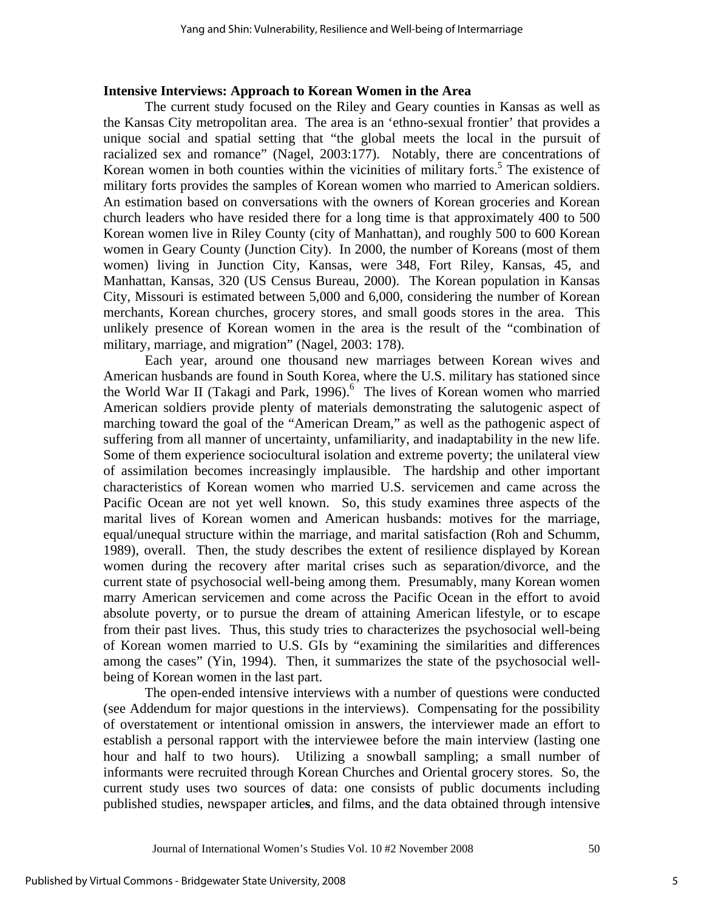#### **Intensive Interviews: Approach to Korean Women in the Area**

 The current study focused on the Riley and Geary counties in Kansas as well as the Kansas City metropolitan area. The area is an 'ethno-sexual frontier' that provides a unique social and spatial setting that "the global meets the local in the pursuit of racialized sex and romance" (Nagel, 2003:177). Notably, there are concentrations of Korean women in both counties within the vicinities of military forts.<sup>5</sup> The existence of military forts provides the samples of Korean women who married to American soldiers. An estimation based on conversations with the owners of Korean groceries and Korean church leaders who have resided there for a long time is that approximately 400 to 500 Korean women live in Riley County (city of Manhattan), and roughly 500 to 600 Korean women in Geary County (Junction City). In 2000, the number of Koreans (most of them women) living in Junction City, Kansas, were 348, Fort Riley, Kansas, 45, and Manhattan, Kansas, 320 (US Census Bureau, 2000). The Korean population in Kansas City, Missouri is estimated between 5,000 and 6,000, considering the number of Korean merchants, Korean churches, grocery stores, and small goods stores in the area. This unlikely presence of Korean women in the area is the result of the "combination of military, marriage, and migration" (Nagel, 2003: 178).

 Each year, around one thousand new marriages between Korean wives and American husbands are found in South Korea, where the U.S. military has stationed since the World War II (Takagi and Park, 1996).<sup>6</sup> The lives of Korean women who married American soldiers provide plenty of materials demonstrating the salutogenic aspect of marching toward the goal of the "American Dream," as well as the pathogenic aspect of suffering from all manner of uncertainty, unfamiliarity, and inadaptability in the new life. Some of them experience sociocultural isolation and extreme poverty; the unilateral view of assimilation becomes increasingly implausible. The hardship and other important characteristics of Korean women who married U.S. servicemen and came across the Pacific Ocean are not yet well known. So, this study examines three aspects of the marital lives of Korean women and American husbands: motives for the marriage, equal/unequal structure within the marriage, and marital satisfaction (Roh and Schumm, 1989), overall. Then, the study describes the extent of resilience displayed by Korean women during the recovery after marital crises such as separation/divorce, and the current state of psychosocial well-being among them. Presumably, many Korean women marry American servicemen and come across the Pacific Ocean in the effort to avoid absolute poverty, or to pursue the dream of attaining American lifestyle, or to escape from their past lives. Thus, this study tries to characterizes the psychosocial well-being of Korean women married to U.S. GIs by "examining the similarities and differences among the cases" (Yin, 1994). Then, it summarizes the state of the psychosocial wellbeing of Korean women in the last part.

 The open-ended intensive interviews with a number of questions were conducted (see Addendum for major questions in the interviews). Compensating for the possibility of overstatement or intentional omission in answers, the interviewer made an effort to establish a personal rapport with the interviewee before the main interview (lasting one hour and half to two hours). Utilizing a snowball sampling; a small number of informants were recruited through Korean Churches and Oriental grocery stores. So, the current study uses two sources of data: one consists of public documents including published studies, newspaper article**s**, and films, and the data obtained through intensive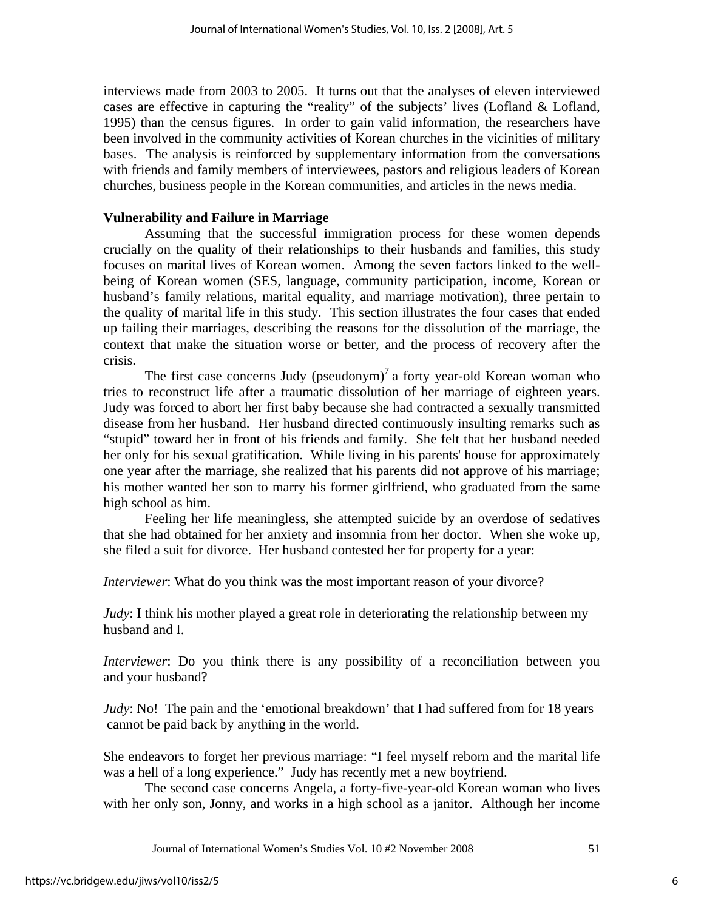interviews made from 2003 to 2005. It turns out that the analyses of eleven interviewed cases are effective in capturing the "reality" of the subjects' lives (Lofland & Lofland, 1995) than the census figures. In order to gain valid information, the researchers have been involved in the community activities of Korean churches in the vicinities of military bases. The analysis is reinforced by supplementary information from the conversations with friends and family members of interviewees, pastors and religious leaders of Korean churches, business people in the Korean communities, and articles in the news media.

#### **Vulnerability and Failure in Marriage**

Assuming that the successful immigration process for these women depends crucially on the quality of their relationships to their husbands and families, this study focuses on marital lives of Korean women. Among the seven factors linked to the wellbeing of Korean women (SES, language, community participation, income, Korean or husband's family relations, marital equality, and marriage motivation), three pertain to the quality of marital life in this study. This section illustrates the four cases that ended up failing their marriages, describing the reasons for the dissolution of the marriage, the context that make the situation worse or better, and the process of recovery after the crisis.

The first case concerns Judy (pseudonym)<sup>7</sup> a forty year-old Korean woman who tries to reconstruct life after a traumatic dissolution of her marriage of eighteen years. Judy was forced to abort her first baby because she had contracted a sexually transmitted disease from her husband. Her husband directed continuously insulting remarks such as "stupid" toward her in front of his friends and family. She felt that her husband needed her only for his sexual gratification. While living in his parents' house for approximately one year after the marriage, she realized that his parents did not approve of his marriage; his mother wanted her son to marry his former girlfriend, who graduated from the same high school as him.

 Feeling her life meaningless, she attempted suicide by an overdose of sedatives that she had obtained for her anxiety and insomnia from her doctor. When she woke up, she filed a suit for divorce. Her husband contested her for property for a year:

*Interviewer*: What do you think was the most important reason of your divorce?

*Judy*: I think his mother played a great role in deteriorating the relationship between my husband and I.

*Interviewer*: Do you think there is any possibility of a reconciliation between you and your husband?

*Judy*: No! The pain and the 'emotional breakdown' that I had suffered from for 18 years cannot be paid back by anything in the world.

She endeavors to forget her previous marriage: "I feel myself reborn and the marital life was a hell of a long experience." Judy has recently met a new boyfriend.

The second case concerns Angela, a forty-five-year-old Korean woman who lives with her only son, Jonny, and works in a high school as a janitor. Although her income

Journal of International Women's Studies Vol. 10 #2 November 2008 51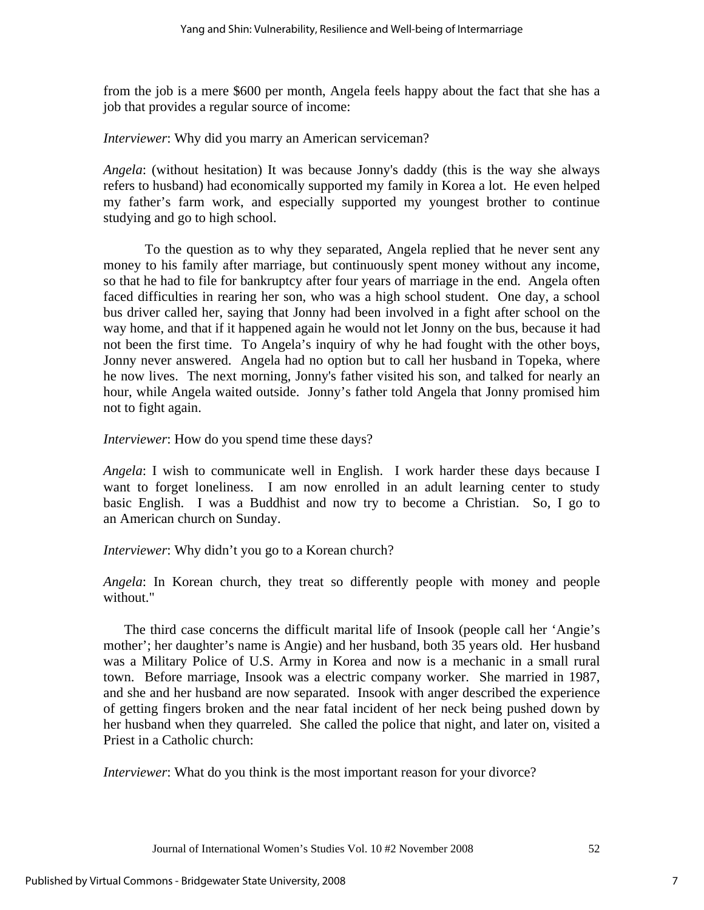from the job is a mere \$600 per month, Angela feels happy about the fact that she has a job that provides a regular source of income:

*Interviewer*: Why did you marry an American serviceman?

*Angela*: (without hesitation) It was because Jonny's daddy (this is the way she always refers to husband) had economically supported my family in Korea a lot. He even helped my father's farm work, and especially supported my youngest brother to continue studying and go to high school.

 To the question as to why they separated, Angela replied that he never sent any money to his family after marriage, but continuously spent money without any income, so that he had to file for bankruptcy after four years of marriage in the end. Angela often faced difficulties in rearing her son, who was a high school student. One day, a school bus driver called her, saying that Jonny had been involved in a fight after school on the way home, and that if it happened again he would not let Jonny on the bus, because it had not been the first time. To Angela's inquiry of why he had fought with the other boys, Jonny never answered. Angela had no option but to call her husband in Topeka, where he now lives. The next morning, Jonny's father visited his son, and talked for nearly an hour, while Angela waited outside. Jonny's father told Angela that Jonny promised him not to fight again.

*Interviewer*: How do you spend time these days?

*Angela*: I wish to communicate well in English. I work harder these days because I want to forget loneliness. I am now enrolled in an adult learning center to study basic English. I was a Buddhist and now try to become a Christian. So, I go to an American church on Sunday.

*Interviewer*: Why didn't you go to a Korean church?

*Angela*: In Korean church, they treat so differently people with money and people without."

The third case concerns the difficult marital life of Insook (people call her 'Angie's mother'; her daughter's name is Angie) and her husband, both 35 years old. Her husband was a Military Police of U.S. Army in Korea and now is a mechanic in a small rural town. Before marriage, Insook was a electric company worker. She married in 1987, and she and her husband are now separated. Insook with anger described the experience of getting fingers broken and the near fatal incident of her neck being pushed down by her husband when they quarreled. She called the police that night, and later on, visited a Priest in a Catholic church:

*Interviewer*: What do you think is the most important reason for your divorce?

Journal of International Women's Studies Vol. 10 #2 November 2008 52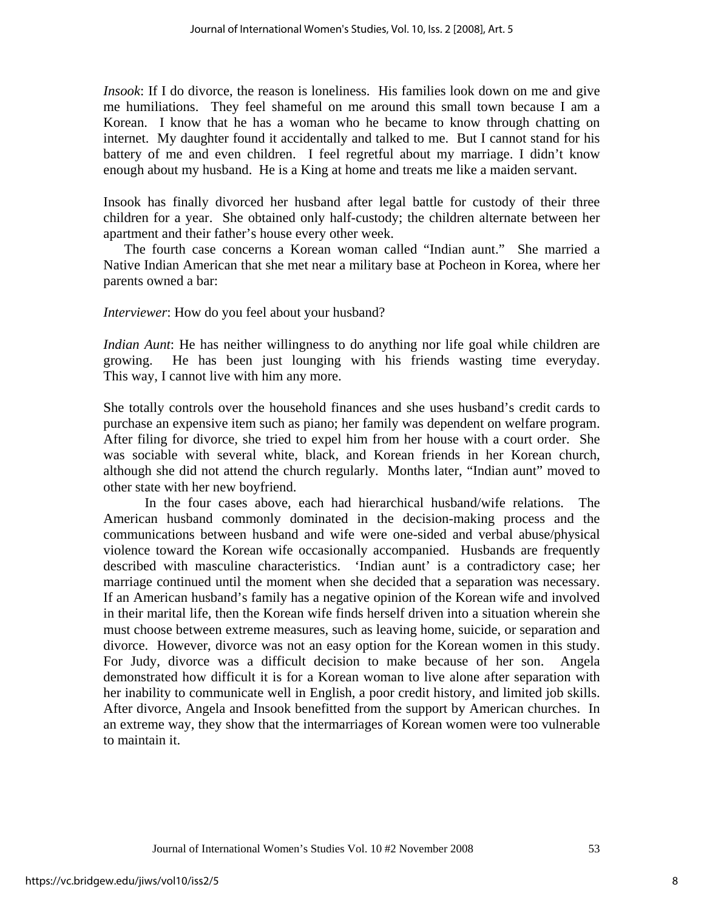*Insook*: If I do divorce, the reason is loneliness. His families look down on me and give me humiliations. They feel shameful on me around this small town because I am a Korean. I know that he has a woman who he became to know through chatting on internet. My daughter found it accidentally and talked to me. But I cannot stand for his battery of me and even children. I feel regretful about my marriage. I didn't know enough about my husband. He is a King at home and treats me like a maiden servant.

Insook has finally divorced her husband after legal battle for custody of their three children for a year. She obtained only half-custody; the children alternate between her apartment and their father's house every other week.

The fourth case concerns a Korean woman called "Indian aunt." She married a Native Indian American that she met near a military base at Pocheon in Korea, where her parents owned a bar:

*Interviewer*: How do you feel about your husband?

*Indian Aunt*: He has neither willingness to do anything nor life goal while children are growing. He has been just lounging with his friends wasting time everyday. This way, I cannot live with him any more.

She totally controls over the household finances and she uses husband's credit cards to purchase an expensive item such as piano; her family was dependent on welfare program. After filing for divorce, she tried to expel him from her house with a court order. She was sociable with several white, black, and Korean friends in her Korean church, although she did not attend the church regularly. Months later, "Indian aunt" moved to other state with her new boyfriend.

In the four cases above, each had hierarchical husband/wife relations. The American husband commonly dominated in the decision-making process and the communications between husband and wife were one-sided and verbal abuse/physical violence toward the Korean wife occasionally accompanied. Husbands are frequently described with masculine characteristics. 'Indian aunt' is a contradictory case; her marriage continued until the moment when she decided that a separation was necessary. If an American husband's family has a negative opinion of the Korean wife and involved in their marital life, then the Korean wife finds herself driven into a situation wherein she must choose between extreme measures, such as leaving home, suicide, or separation and divorce. However, divorce was not an easy option for the Korean women in this study. For Judy, divorce was a difficult decision to make because of her son. Angela demonstrated how difficult it is for a Korean woman to live alone after separation with her inability to communicate well in English, a poor credit history, and limited job skills. After divorce, Angela and Insook benefitted from the support by American churches. In an extreme way, they show that the intermarriages of Korean women were too vulnerable to maintain it.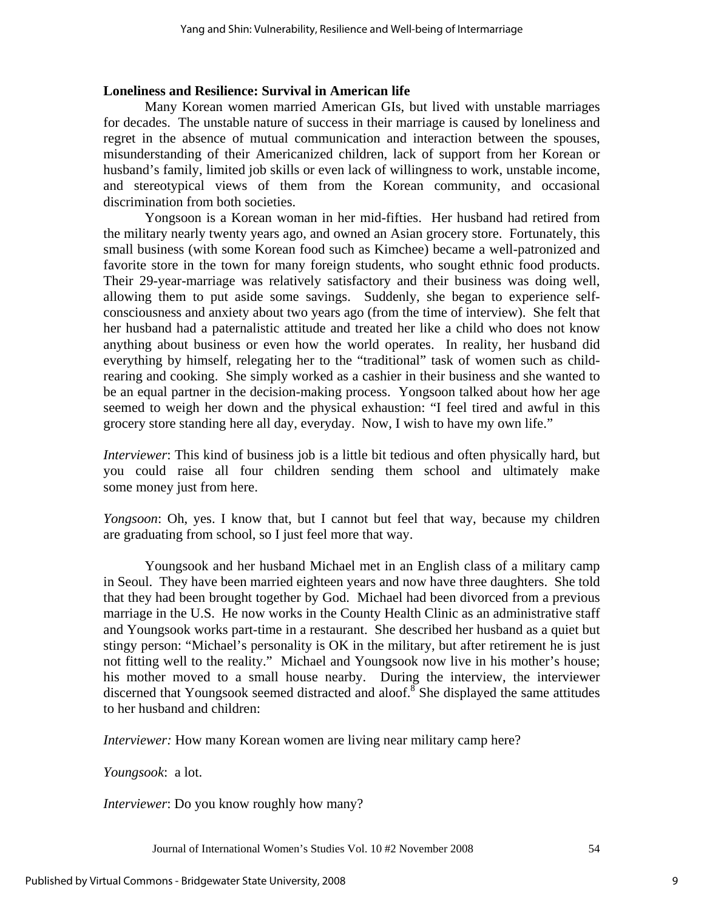#### **Loneliness and Resilience: Survival in American life**

Many Korean women married American GIs, but lived with unstable marriages for decades. The unstable nature of success in their marriage is caused by loneliness and regret in the absence of mutual communication and interaction between the spouses, misunderstanding of their Americanized children, lack of support from her Korean or husband's family, limited job skills or even lack of willingness to work, unstable income, and stereotypical views of them from the Korean community, and occasional discrimination from both societies.

Yongsoon is a Korean woman in her mid-fifties. Her husband had retired from the military nearly twenty years ago, and owned an Asian grocery store. Fortunately, this small business (with some Korean food such as Kimchee) became a well-patronized and favorite store in the town for many foreign students, who sought ethnic food products. Their 29-year-marriage was relatively satisfactory and their business was doing well, allowing them to put aside some savings. Suddenly, she began to experience selfconsciousness and anxiety about two years ago (from the time of interview). She felt that her husband had a paternalistic attitude and treated her like a child who does not know anything about business or even how the world operates. In reality, her husband did everything by himself, relegating her to the "traditional" task of women such as childrearing and cooking. She simply worked as a cashier in their business and she wanted to be an equal partner in the decision-making process. Yongsoon talked about how her age seemed to weigh her down and the physical exhaustion: "I feel tired and awful in this grocery store standing here all day, everyday. Now, I wish to have my own life."

*Interviewer*: This kind of business job is a little bit tedious and often physically hard, but you could raise all four children sending them school and ultimately make some money just from here.

*Yongsoon*: Oh, yes. I know that, but I cannot but feel that way, because my children are graduating from school, so I just feel more that way.

 Youngsook and her husband Michael met in an English class of a military camp in Seoul. They have been married eighteen years and now have three daughters. She told that they had been brought together by God. Michael had been divorced from a previous marriage in the U.S. He now works in the County Health Clinic as an administrative staff and Youngsook works part-time in a restaurant. She described her husband as a quiet but stingy person: "Michael's personality is OK in the military, but after retirement he is just not fitting well to the reality." Michael and Youngsook now live in his mother's house; his mother moved to a small house nearby. During the interview, the interviewer discerned that Youngsook seemed distracted and aloof.<sup>8</sup> She displayed the same attitudes to her husband and children:

*Interviewer:* How many Korean women are living near military camp here?

*Youngsook*: a lot.

*Interviewer*: Do you know roughly how many?

Journal of International Women's Studies Vol. 10 #2 November 2008 54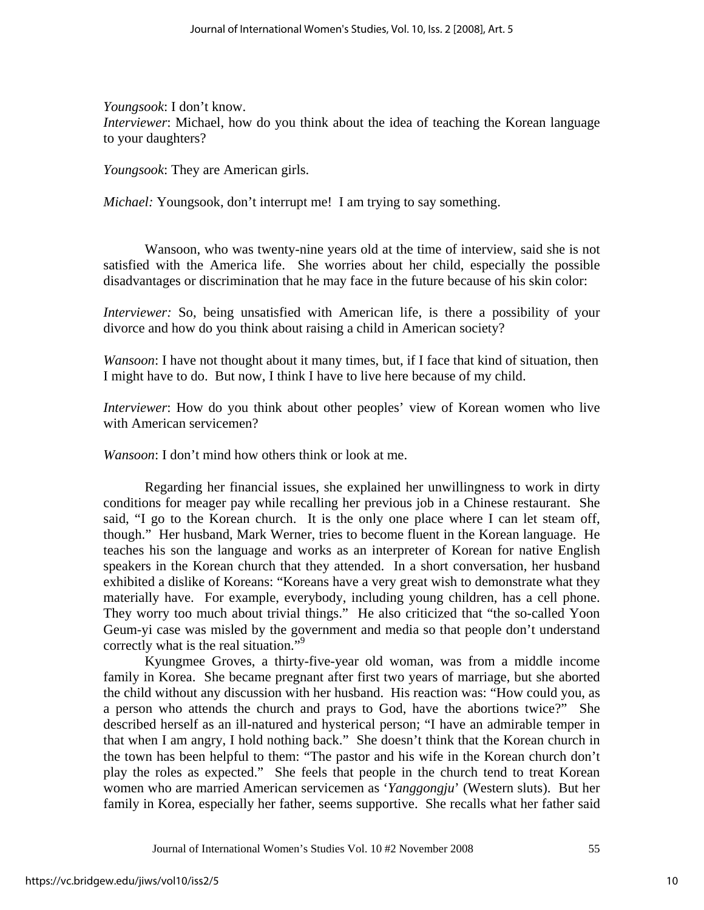*Youngsook*: I don't know. *Interviewer*: Michael, how do you think about the idea of teaching the Korean language to your daughters?

*Youngsook*: They are American girls.

*Michael:* Youngsook, don't interrupt me! I am trying to say something.

 Wansoon, who was twenty-nine years old at the time of interview, said she is not satisfied with the America life. She worries about her child, especially the possible disadvantages or discrimination that he may face in the future because of his skin color:

*Interviewer:* So, being unsatisfied with American life, is there a possibility of your divorce and how do you think about raising a child in American society?

*Wansoon*: I have not thought about it many times, but, if I face that kind of situation, then I might have to do. But now, I think I have to live here because of my child.

*Interviewer*: How do you think about other peoples' view of Korean women who live with American servicemen?

*Wansoon*: I don't mind how others think or look at me.

 Regarding her financial issues, she explained her unwillingness to work in dirty conditions for meager pay while recalling her previous job in a Chinese restaurant. She said, "I go to the Korean church. It is the only one place where I can let steam off, though." Her husband, Mark Werner, tries to become fluent in the Korean language. He teaches his son the language and works as an interpreter of Korean for native English speakers in the Korean church that they attended. In a short conversation, her husband exhibited a dislike of Koreans: "Koreans have a very great wish to demonstrate what they materially have. For example, everybody, including young children, has a cell phone. They worry too much about trivial things." He also criticized that "the so-called Yoon Geum-yi case was misled by the government and media so that people don't understand correctly what is the real situation."<sup>9</sup>

 Kyungmee Groves, a thirty-five-year old woman, was from a middle income family in Korea. She became pregnant after first two years of marriage, but she aborted the child without any discussion with her husband. His reaction was: "How could you, as a person who attends the church and prays to God, have the abortions twice?" She described herself as an ill-natured and hysterical person; "I have an admirable temper in that when I am angry, I hold nothing back." She doesn't think that the Korean church in the town has been helpful to them: "The pastor and his wife in the Korean church don't play the roles as expected." She feels that people in the church tend to treat Korean women who are married American servicemen as '*Yanggongju*' (Western sluts). But her family in Korea, especially her father, seems supportive. She recalls what her father said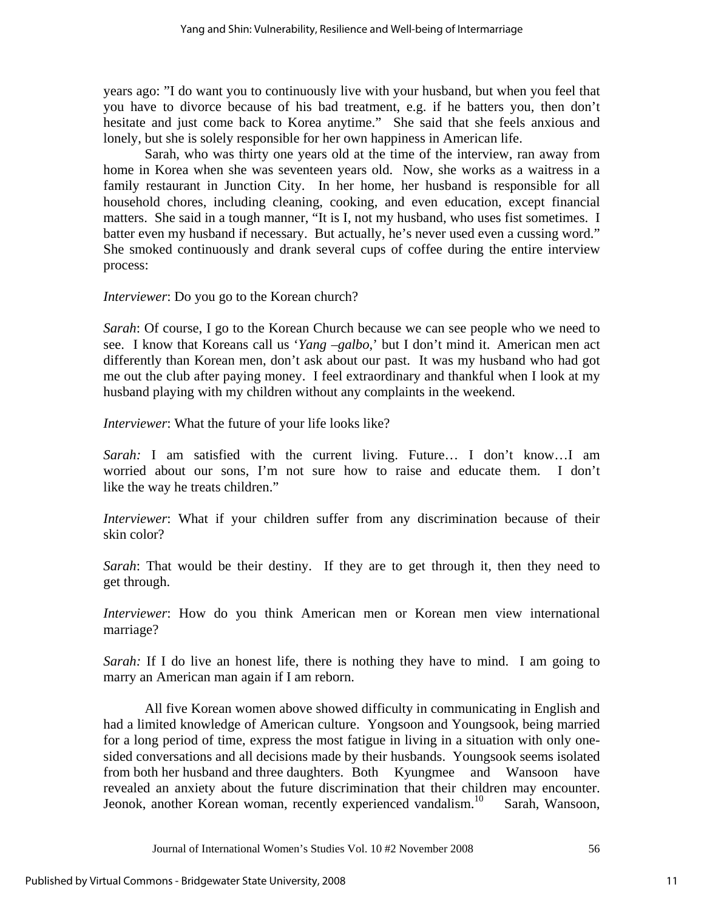years ago: "I do want you to continuously live with your husband, but when you feel that you have to divorce because of his bad treatment, e.g. if he batters you, then don't hesitate and just come back to Korea anytime." She said that she feels anxious and lonely, but she is solely responsible for her own happiness in American life.

 Sarah, who was thirty one years old at the time of the interview, ran away from home in Korea when she was seventeen years old. Now, she works as a waitress in a family restaurant in Junction City. In her home, her husband is responsible for all household chores, including cleaning, cooking, and even education, except financial matters. She said in a tough manner, "It is I, not my husband, who uses fist sometimes. I batter even my husband if necessary. But actually, he's never used even a cussing word." She smoked continuously and drank several cups of coffee during the entire interview process:

*Interviewer*: Do you go to the Korean church?

*Sarah*: Of course, I go to the Korean Church because we can see people who we need to see. I know that Koreans call us '*Yang –galbo*,' but I don't mind it. American men act differently than Korean men, don't ask about our past. It was my husband who had got me out the club after paying money. I feel extraordinary and thankful when I look at my husband playing with my children without any complaints in the weekend.

*Interviewer*: What the future of your life looks like?

*Sarah:* I am satisfied with the current living. Future… I don't know…I am worried about our sons, I'm not sure how to raise and educate them. I don't like the way he treats children."

*Interviewer*: What if your children suffer from any discrimination because of their skin color?

*Sarah*: That would be their destiny. If they are to get through it, then they need to get through.

*Interviewer*: How do you think American men or Korean men view international marriage?

*Sarah:* If I do live an honest life, there is nothing they have to mind. I am going to marry an American man again if I am reborn.

 All five Korean women above showed difficulty in communicating in English and had a limited knowledge of American culture. Yongsoon and Youngsook, being married for a long period of time, express the most fatigue in living in a situation with only onesided conversations and all decisions made by their husbands. Youngsook seems isolated from both her husband and three daughters. Both Kyungmee and Wansoon have revealed an anxiety about the future discrimination that their children may encounter. Jeonok, another Korean woman, recently experienced vandalism.<sup>10</sup> Sarah, Wansoon,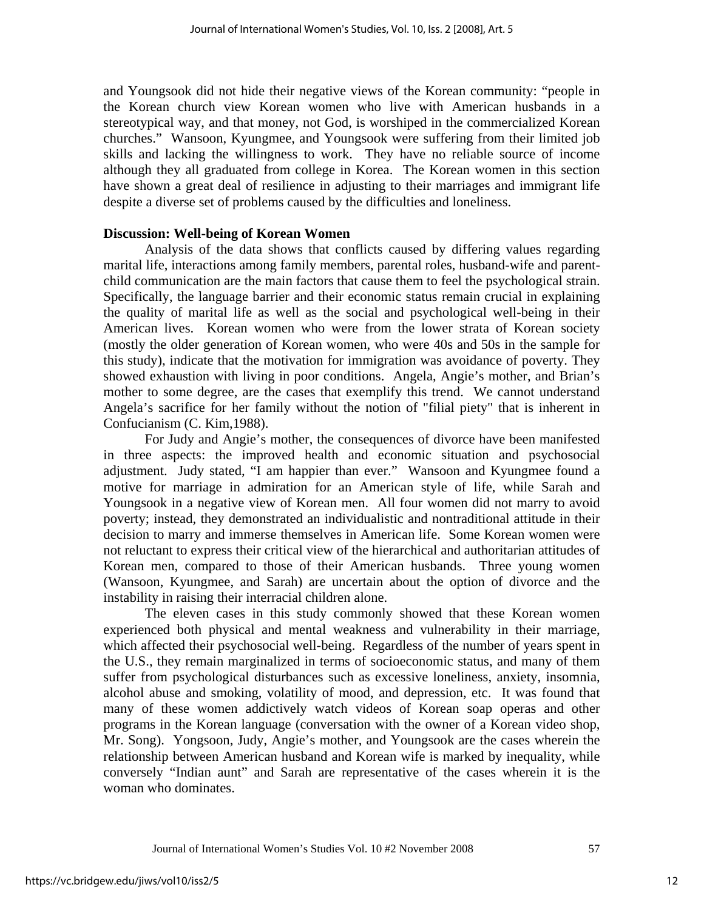and Youngsook did not hide their negative views of the Korean community: "people in the Korean church view Korean women who live with American husbands in a stereotypical way, and that money, not God, is worshiped in the commercialized Korean churches." Wansoon, Kyungmee, and Youngsook were suffering from their limited job skills and lacking the willingness to work. They have no reliable source of income although they all graduated from college in Korea. The Korean women in this section have shown a great deal of resilience in adjusting to their marriages and immigrant life despite a diverse set of problems caused by the difficulties and loneliness.

#### **Discussion: Well-being of Korean Women**

 Analysis of the data shows that conflicts caused by differing values regarding marital life, interactions among family members, parental roles, husband-wife and parentchild communication are the main factors that cause them to feel the psychological strain. Specifically, the language barrier and their economic status remain crucial in explaining the quality of marital life as well as the social and psychological well-being in their American lives. Korean women who were from the lower strata of Korean society (mostly the older generation of Korean women, who were 40s and 50s in the sample for this study), indicate that the motivation for immigration was avoidance of poverty. They showed exhaustion with living in poor conditions. Angela, Angie's mother, and Brian's mother to some degree, are the cases that exemplify this trend. We cannot understand Angela's sacrifice for her family without the notion of "filial piety" that is inherent in Confucianism (C. Kim,1988).

 For Judy and Angie's mother, the consequences of divorce have been manifested in three aspects: the improved health and economic situation and psychosocial adjustment. Judy stated, "I am happier than ever." Wansoon and Kyungmee found a motive for marriage in admiration for an American style of life, while Sarah and Youngsook in a negative view of Korean men. All four women did not marry to avoid poverty; instead, they demonstrated an individualistic and nontraditional attitude in their decision to marry and immerse themselves in American life. Some Korean women were not reluctant to express their critical view of the hierarchical and authoritarian attitudes of Korean men, compared to those of their American husbands. Three young women (Wansoon, Kyungmee, and Sarah) are uncertain about the option of divorce and the instability in raising their interracial children alone.

 The eleven cases in this study commonly showed that these Korean women experienced both physical and mental weakness and vulnerability in their marriage, which affected their psychosocial well-being. Regardless of the number of years spent in the U.S., they remain marginalized in terms of socioeconomic status, and many of them suffer from psychological disturbances such as excessive loneliness, anxiety, insomnia, alcohol abuse and smoking, volatility of mood, and depression, etc. It was found that many of these women addictively watch videos of Korean soap operas and other programs in the Korean language (conversation with the owner of a Korean video shop, Mr. Song). Yongsoon, Judy, Angie's mother, and Youngsook are the cases wherein the relationship between American husband and Korean wife is marked by inequality, while conversely "Indian aunt" and Sarah are representative of the cases wherein it is the woman who dominates.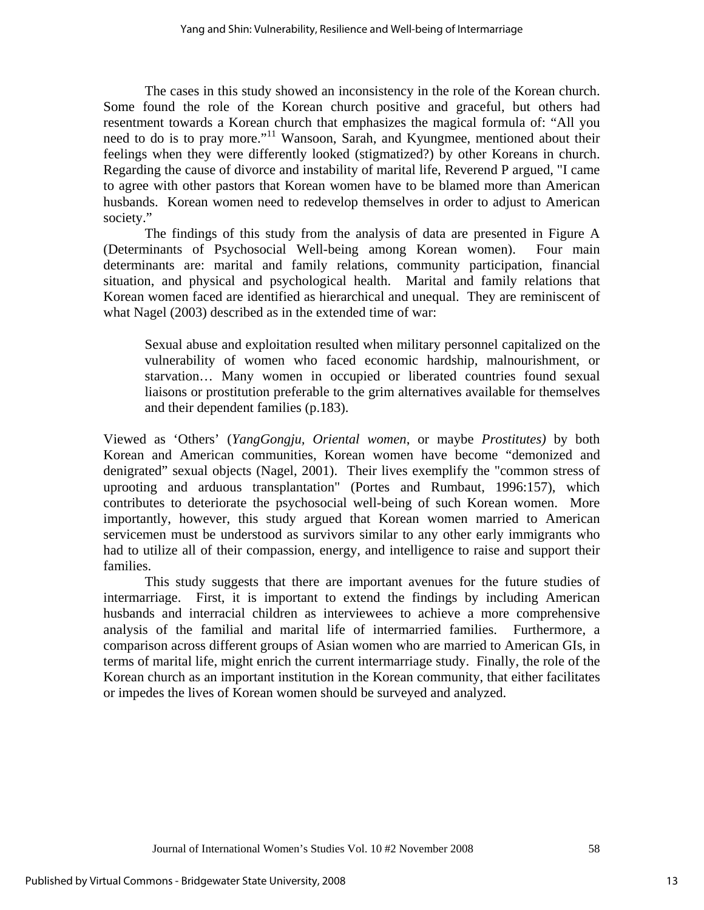The cases in this study showed an inconsistency in the role of the Korean church. Some found the role of the Korean church positive and graceful, but others had resentment towards a Korean church that emphasizes the magical formula of: "All you need to do is to pray more."<sup>11</sup> Wansoon, Sarah, and Kyungmee, mentioned about their feelings when they were differently looked (stigmatized?) by other Koreans in church. Regarding the cause of divorce and instability of marital life, Reverend P argued, "I came to agree with other pastors that Korean women have to be blamed more than American husbands. Korean women need to redevelop themselves in order to adjust to American society."

 The findings of this study from the analysis of data are presented in Figure A (Determinants of Psychosocial Well-being among Korean women). Four main determinants are: marital and family relations, community participation, financial situation, and physical and psychological health. Marital and family relations that Korean women faced are identified as hierarchical and unequal. They are reminiscent of what Nagel (2003) described as in the extended time of war:

Sexual abuse and exploitation resulted when military personnel capitalized on the vulnerability of women who faced economic hardship, malnourishment, or starvation… Many women in occupied or liberated countries found sexual liaisons or prostitution preferable to the grim alternatives available for themselves and their dependent families (p.183).

Viewed as 'Others' (*YangGongju, Oriental women*, or maybe *Prostitutes)* by both Korean and American communities, Korean women have become "demonized and denigrated" sexual objects (Nagel, 2001). Their lives exemplify the "common stress of uprooting and arduous transplantation" (Portes and Rumbaut, 1996:157), which contributes to deteriorate the psychosocial well-being of such Korean women. More importantly, however, this study argued that Korean women married to American servicemen must be understood as survivors similar to any other early immigrants who had to utilize all of their compassion, energy, and intelligence to raise and support their families.

 This study suggests that there are important avenues for the future studies of intermarriage. First, it is important to extend the findings by including American husbands and interracial children as interviewees to achieve a more comprehensive analysis of the familial and marital life of intermarried families. Furthermore, a comparison across different groups of Asian women who are married to American GIs, in terms of marital life, might enrich the current intermarriage study. Finally, the role of the Korean church as an important institution in the Korean community, that either facilitates or impedes the lives of Korean women should be surveyed and analyzed.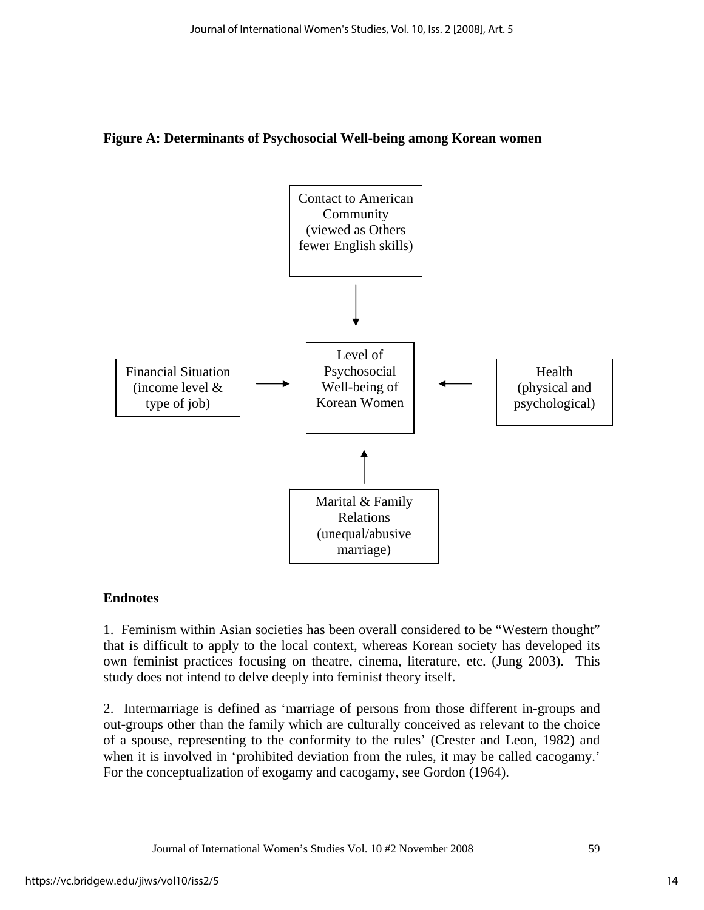#### **Figure A: Determinants of Psychosocial Well-being among Korean women**



#### **Endnotes**

1. Feminism within Asian societies has been overall considered to be "Western thought" that is difficult to apply to the local context, whereas Korean society has developed its own feminist practices focusing on theatre, cinema, literature, etc. (Jung 2003). This study does not intend to delve deeply into feminist theory itself.

2. Intermarriage is defined as 'marriage of persons from those different in-groups and out-groups other than the family which are culturally conceived as relevant to the choice of a spouse, representing to the conformity to the rules' (Crester and Leon, 1982) and when it is involved in 'prohibited deviation from the rules, it may be called cacogamy.' For the conceptualization of exogamy and cacogamy, see Gordon (1964).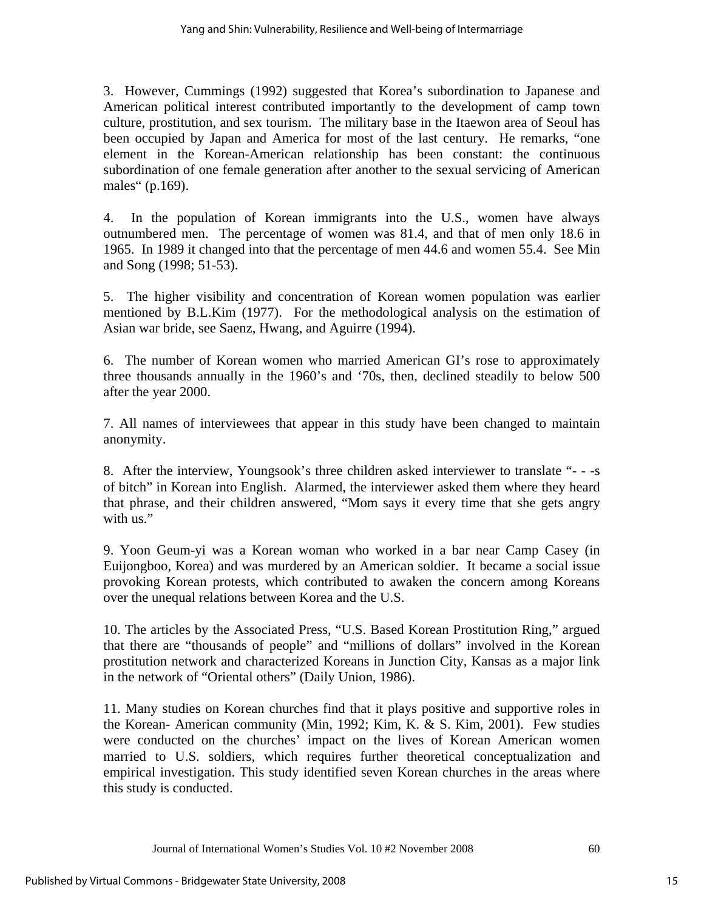3. However, Cummings (1992) suggested that Korea's subordination to Japanese and American political interest contributed importantly to the development of camp town culture, prostitution, and sex tourism. The military base in the Itaewon area of Seoul has been occupied by Japan and America for most of the last century. He remarks, "one element in the Korean-American relationship has been constant: the continuous subordination of one female generation after another to the sexual servicing of American males" (p.169).

4. In the population of Korean immigrants into the U.S., women have always outnumbered men. The percentage of women was 81.4, and that of men only 18.6 in 1965. In 1989 it changed into that the percentage of men 44.6 and women 55.4. See Min and Song (1998; 51-53).

5. The higher visibility and concentration of Korean women population was earlier mentioned by B.L.Kim (1977). For the methodological analysis on the estimation of Asian war bride, see Saenz, Hwang, and Aguirre (1994).

6. The number of Korean women who married American GI's rose to approximately three thousands annually in the 1960's and '70s, then, declined steadily to below 500 after the year 2000.

7. All names of interviewees that appear in this study have been changed to maintain anonymity.

8. After the interview, Youngsook's three children asked interviewer to translate "- - -s of bitch" in Korean into English. Alarmed, the interviewer asked them where they heard that phrase, and their children answered, "Mom says it every time that she gets angry with us."

9. Yoon Geum-yi was a Korean woman who worked in a bar near Camp Casey (in Euijongboo, Korea) and was murdered by an American soldier. It became a social issue provoking Korean protests, which contributed to awaken the concern among Koreans over the unequal relations between Korea and the U.S.

10. The articles by the Associated Press, "U.S. Based Korean Prostitution Ring," argued that there are "thousands of people" and "millions of dollars" involved in the Korean prostitution network and characterized Koreans in Junction City, Kansas as a major link in the network of "Oriental others" (Daily Union, 1986).

11. Many studies on Korean churches find that it plays positive and supportive roles in the Korean- American community (Min, 1992; Kim, K. & S. Kim, 2001). Few studies were conducted on the churches' impact on the lives of Korean American women married to U.S. soldiers, which requires further theoretical conceptualization and empirical investigation. This study identified seven Korean churches in the areas where this study is conducted.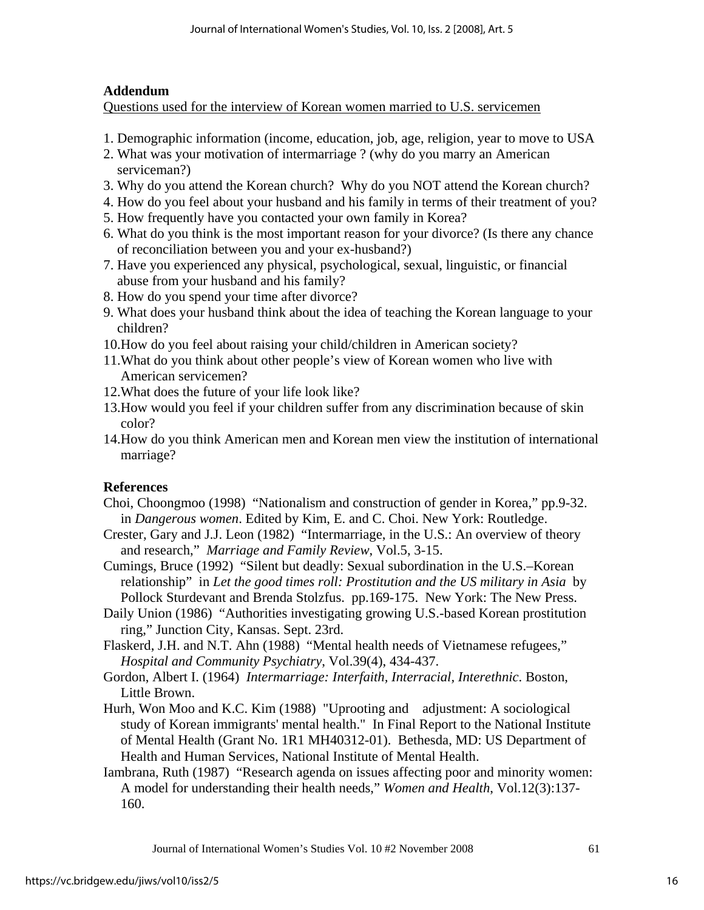#### **Addendum**

Questions used for the interview of Korean women married to U.S. servicemen

- 1. Demographic information (income, education, job, age, religion, year to move to USA
- 2. What was your motivation of intermarriage ? (why do you marry an American serviceman?)
- 3. Why do you attend the Korean church? Why do you NOT attend the Korean church?
- 4. How do you feel about your husband and his family in terms of their treatment of you?
- 5. How frequently have you contacted your own family in Korea?
- 6. What do you think is the most important reason for your divorce? (Is there any chance of reconciliation between you and your ex-husband?)
- 7. Have you experienced any physical, psychological, sexual, linguistic, or financial abuse from your husband and his family?
- 8. How do you spend your time after divorce?
- 9. What does your husband think about the idea of teaching the Korean language to your children?
- 10.How do you feel about raising your child/children in American society?
- 11.What do you think about other people's view of Korean women who live with American servicemen?
- 12.What does the future of your life look like?
- 13.How would you feel if your children suffer from any discrimination because of skin color?
- 14.How do you think American men and Korean men view the institution of international marriage?

### **References**

- Choi, Choongmoo (1998) "Nationalism and construction of gender in Korea," pp.9-32. in *Dangerous women*. Edited by Kim, E. and C. Choi. New York: Routledge.
- Crester, Gary and J.J. Leon (1982) "Intermarriage, in the U.S.: An overview of theory and research," *Marriage and Family Review*, Vol.5, 3-15.
- Cumings, Bruce (1992) "Silent but deadly: Sexual subordination in the U.S.–Korean relationship" in *Let the good times roll: Prostitution and the US military in Asia* by Pollock Sturdevant and Brenda Stolzfus. pp.169-175. New York: The New Press.
- Daily Union (1986) "Authorities investigating growing U.S.-based Korean prostitution ring," Junction City, Kansas. Sept. 23rd.
- Flaskerd, J.H. and N.T. Ahn (1988) "Mental health needs of Vietnamese refugees," *Hospital and Community Psychiatry*, Vol.39(4), 434-437.
- Gordon, Albert I. (1964) *Intermarriage: Interfaith, Interracial, Interethnic*. Boston, Little Brown.
- Hurh, Won Moo and K.C. Kim (1988) "Uprooting and adjustment: A sociological study of Korean immigrants' mental health." In Final Report to the National Institute of Mental Health (Grant No. 1R1 MH40312-01). Bethesda, MD: US Department of Health and Human Services, National Institute of Mental Health.
- Iambrana, Ruth (1987) "Research agenda on issues affecting poor and minority women: A model for understanding their health needs," *Women and Health*, Vol.12(3):137- 160.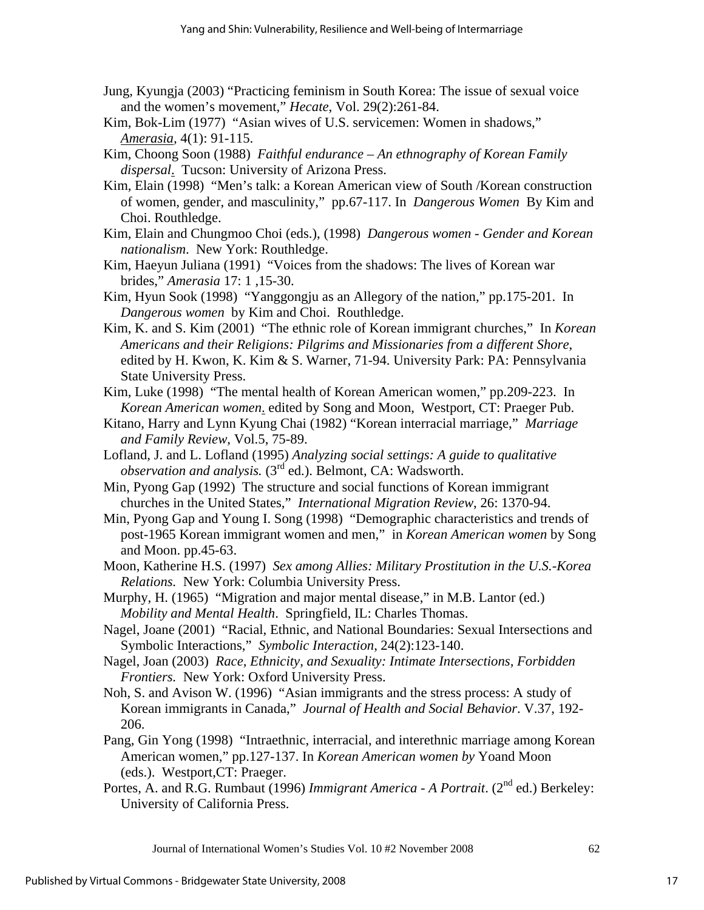- Jung, Kyungja (2003) "Practicing feminism in South Korea: The issue of sexual voice and the women's movement," *Hecate*, Vol. 29(2):261-84.
- Kim, Bok-Lim (1977) "Asian wives of U.S. servicemen: Women in shadows," *Amerasia,* 4(1): 91-115.
- Kim, Choong Soon (1988) *Faithful endurance An ethnography of Korean Family dispersal*. Tucson: University of Arizona Press.
- Kim, Elain (1998) "Men's talk: a Korean American view of South /Korean construction of women, gender, and masculinity," pp.67-117. In *Dangerous Women* By Kim and Choi. Routhledge.
- Kim, Elain and Chungmoo Choi (eds.), (1998) *Dangerous women Gender and Korean nationalism*. New York: Routhledge.
- Kim, Haeyun Juliana (1991) "Voices from the shadows: The lives of Korean war brides," *Amerasia* 17: 1 ,15-30.
- Kim, Hyun Sook (1998) "Yanggongju as an Allegory of the nation," pp.175-201. In *Dangerous women* by Kim and Choi. Routhledge.
- Kim, K. and S. Kim (2001) "The ethnic role of Korean immigrant churches," In *Korean Americans and their Religions: Pilgrims and Missionaries from a different Shore*, edited by H. Kwon, K. Kim & S. Warner, 71-94. University Park: PA: Pennsylvania State University Press.
- Kim, Luke (1998) "The mental health of Korean American women," pp.209-223. In *Korean American women*. edited by Song and Moon, Westport, CT: Praeger Pub.
- Kitano, Harry and Lynn Kyung Chai (1982) "Korean interracial marriage," *Marriage and Family Review*, Vol.5, 75-89.
- Lofland, J. and L. Lofland (1995) *Analyzing social settings: A guide to qualitative observation and analysis.* (3<sup>rd</sup> ed.). Belmont, CA: Wadsworth.
- Min, Pyong Gap (1992) The structure and social functions of Korean immigrant churches in the United States," *International Migration Review*, 26: 1370-94.
- Min, Pyong Gap and Young I. Song (1998) "Demographic characteristics and trends of post-1965 Korean immigrant women and men," in *Korean American women* by Song and Moon. pp.45-63.
- Moon, Katherine H.S. (1997) *Sex among Allies: Military Prostitution in the U.S.-Korea Relations.* New York: Columbia University Press.
- Murphy, H. (1965) "Migration and major mental disease," in M.B. Lantor (ed.)  *Mobility and Mental Health*. Springfield, IL: Charles Thomas.
- Nagel, Joane (2001) "Racial, Ethnic, and National Boundaries: Sexual Intersections and Symbolic Interactions," *Symbolic Interaction*, 24(2):123-140.
- Nagel, Joan (2003) *Race, Ethnicity, and Sexuality: Intimate Intersections, Forbidden Frontiers.* New York: Oxford University Press.
- Noh, S. and Avison W. (1996) "Asian immigrants and the stress process: A study of Korean immigrants in Canada," *Journal of Health and Social Behavior*. V.37, 192- 206.
- Pang, Gin Yong (1998) "Intraethnic, interracial, and interethnic marriage among Korean American women," pp.127-137. In *Korean American women by* Yoand Moon (eds.). Westport,CT: Praeger.
- Portes, A. and R.G. Rumbaut (1996) *Immigrant America A Portrait*. (2<sup>nd</sup> ed.) Berkeley: University of California Press.

Journal of International Women's Studies Vol. 10 #2 November 2008 62